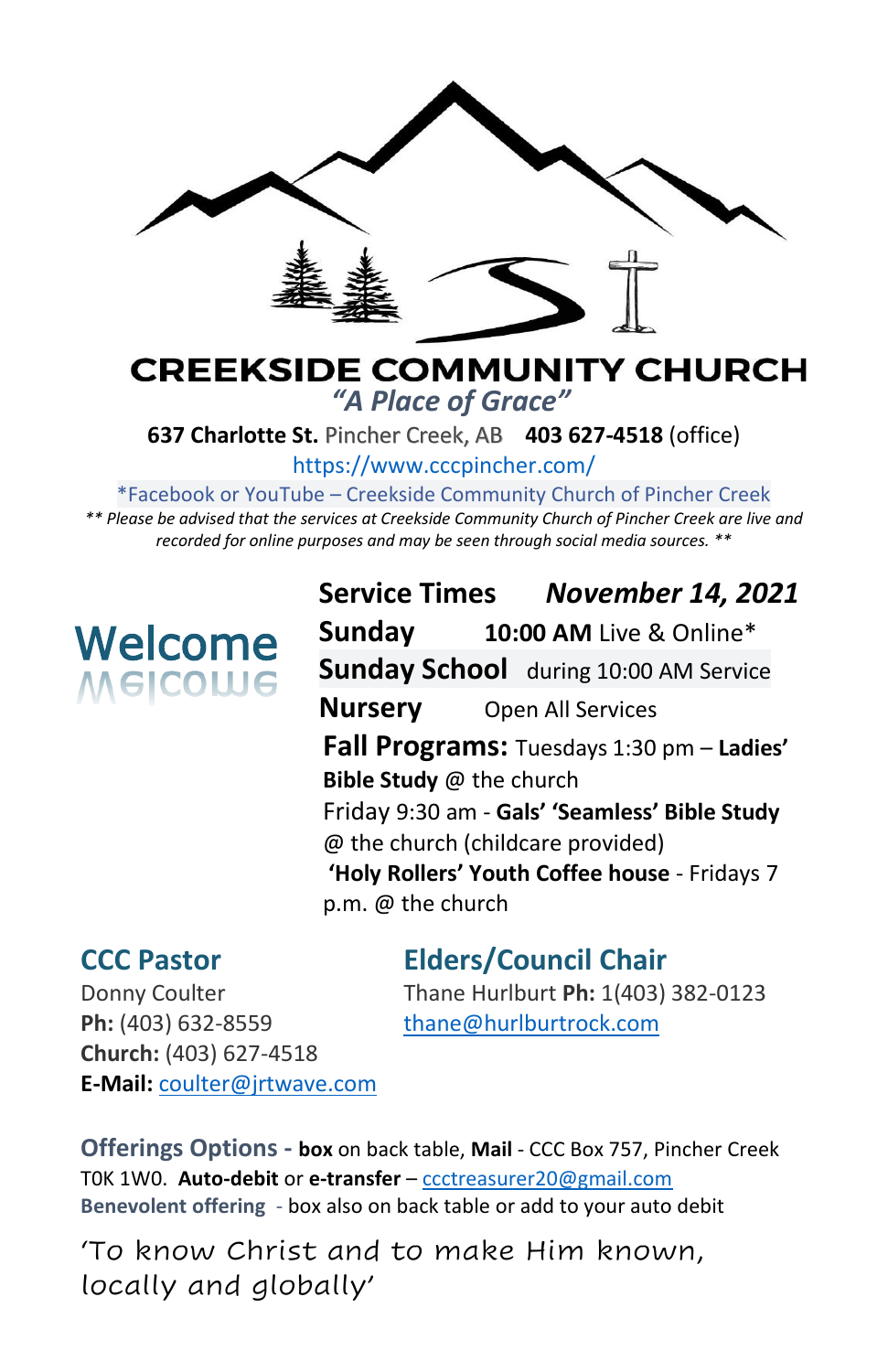

### **CREEKSIDE COMMUNITY CHURCH** *"A Place of Grace"*

**637 Charlotte St.** Pincher Creek, AB **403 627-4518** (office)

<https://www.cccpincher.com/>

\*Facebook or YouTube – Creekside Community Church of Pincher Creek

*\*\* Please be advised that the services at Creekside Community Church of Pincher Creek are live and recorded for online purposes and may be seen through social media sources. \*\**

# Welcome Welcome

**Service Times** *November 14, 2021* **Sunday 10:00 AM** Live & Online\* **Sunday School** during 10:00 AM Service **Nursery** Open All Services **Fall Programs:** Tuesdays 1:30 pm – **Ladies' Bible Study** @ the church Friday 9:30 am - **Gals' 'Seamless' Bible Study**  @ the church (childcare provided) **'Holy Rollers' Youth Coffee house** - Fridays 7 p.m. @ the church

## **CCC Pastor Elders/Council Chair**

Ph: (403) 632-8559 [thane@hurlburtrock.com](mailto:thane@hurlburtrock.com) **Church:** (403) 627-4518 **E-Mail:** [coulter@jrtwave.com](mailto:coulter@jrtwave.com)

Donny Coulter Thane Hurlburt **Ph:** 1(403) 382-0123

**Offerings Options - box** on back table, **Mail** - CCC Box 757, Pincher Creek T0K 1W0. **Auto-debit** or **e-transfer** – [ccctreasurer20@gmail.com](mailto:ccctreasurer20@gmail.com) **Benevolent offering** - box also on back table or add to your auto debit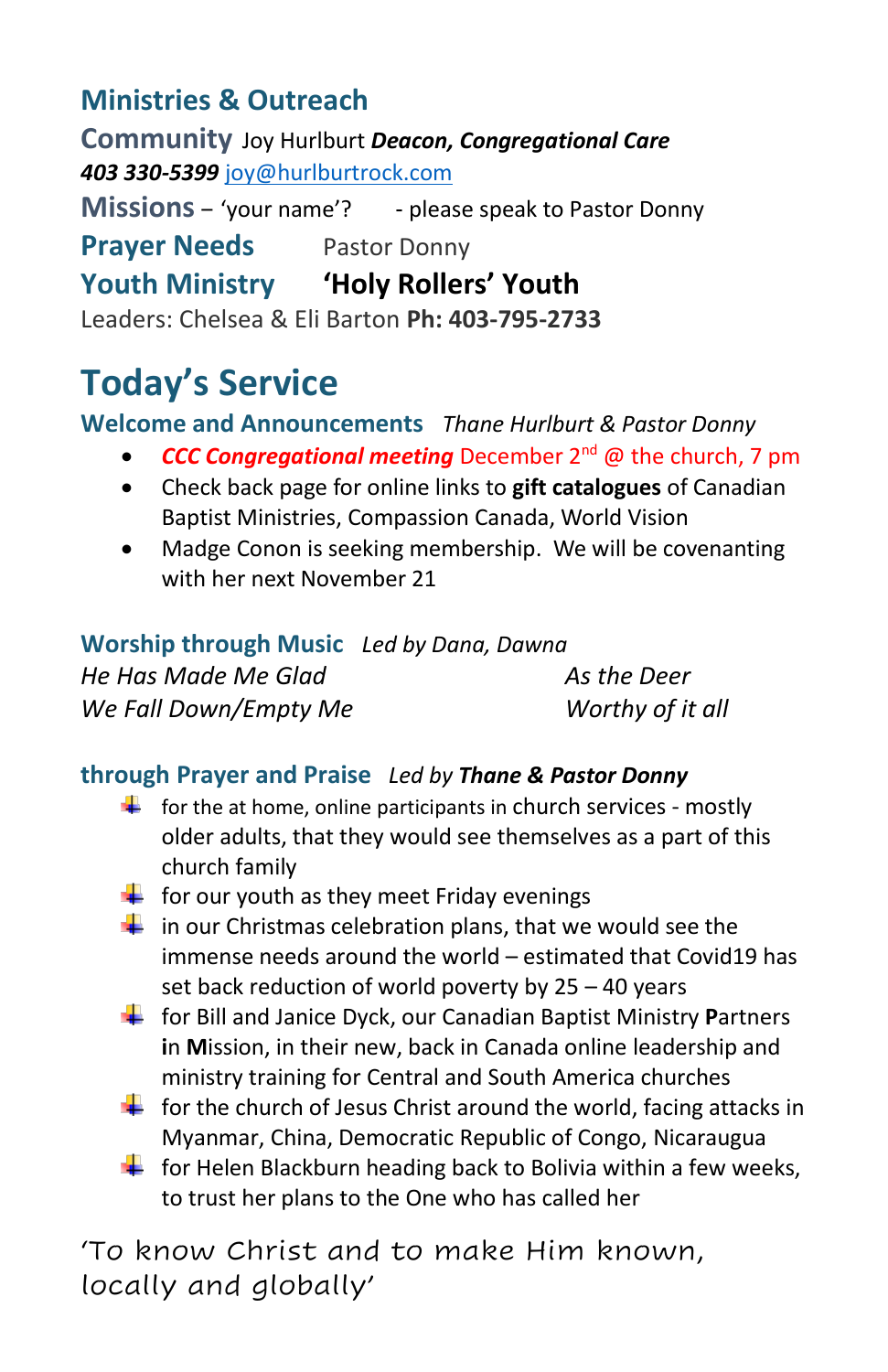## **Ministries & Outreach**

**Community** Joy Hurlburt *Deacon, Congregational Care 403 330-5399* [joy@hurlburtrock.com](mailto:joy@hurlburtrock.com)

**Missions** – 'your name'? - please speak to Pastor Donny **Prayer Needs** Pastor Donny **Youth Ministry 'Holy Rollers' Youth** Leaders: Chelsea & Eli Barton **Ph: 403-795-2733**

# **Today's Service**

#### **Welcome and Announcements** *Thane Hurlburt & Pastor Donny*

- *CCC Congregational meeting* December 2nd @ the church, 7 pm
- Check back page for online links to **gift catalogues** of Canadian Baptist Ministries, Compassion Canada, World Vision
- Madge Conon is seeking membership. We will be covenanting with her next November 21

| Worship through Music Led by Dana, Dawna |                  |
|------------------------------------------|------------------|
| He Has Made Me Glad                      | As the Deer      |
| We Fall Down/Empty Me                    | Worthy of it all |

#### **through Prayer and Praise** *Led by Thane & Pastor Donny*

- $\downarrow$  for the at home, online participants in church services mostly older adults, that they would see themselves as a part of this church family
- $\frac{1}{\sqrt{2}}$  for our youth as they meet Friday evenings
- $\frac{1}{\sqrt{1}}$  in our Christmas celebration plans, that we would see the immense needs around the world – estimated that Covid19 has set back reduction of world poverty by 25 – 40 years
- for Bill and Janice Dyck, our Canadian Baptist Ministry **P**artners **i**n **M**ission, in their new, back in Canada online leadership and ministry training for Central and South America churches
- $\frac{1}{\sqrt{2}}$  for the church of Jesus Christ around the world, facing attacks in Myanmar, China, Democratic Republic of Congo, Nicaraugua
- $\downarrow$  for Helen Blackburn heading back to Bolivia within a few weeks, to trust her plans to the One who has called her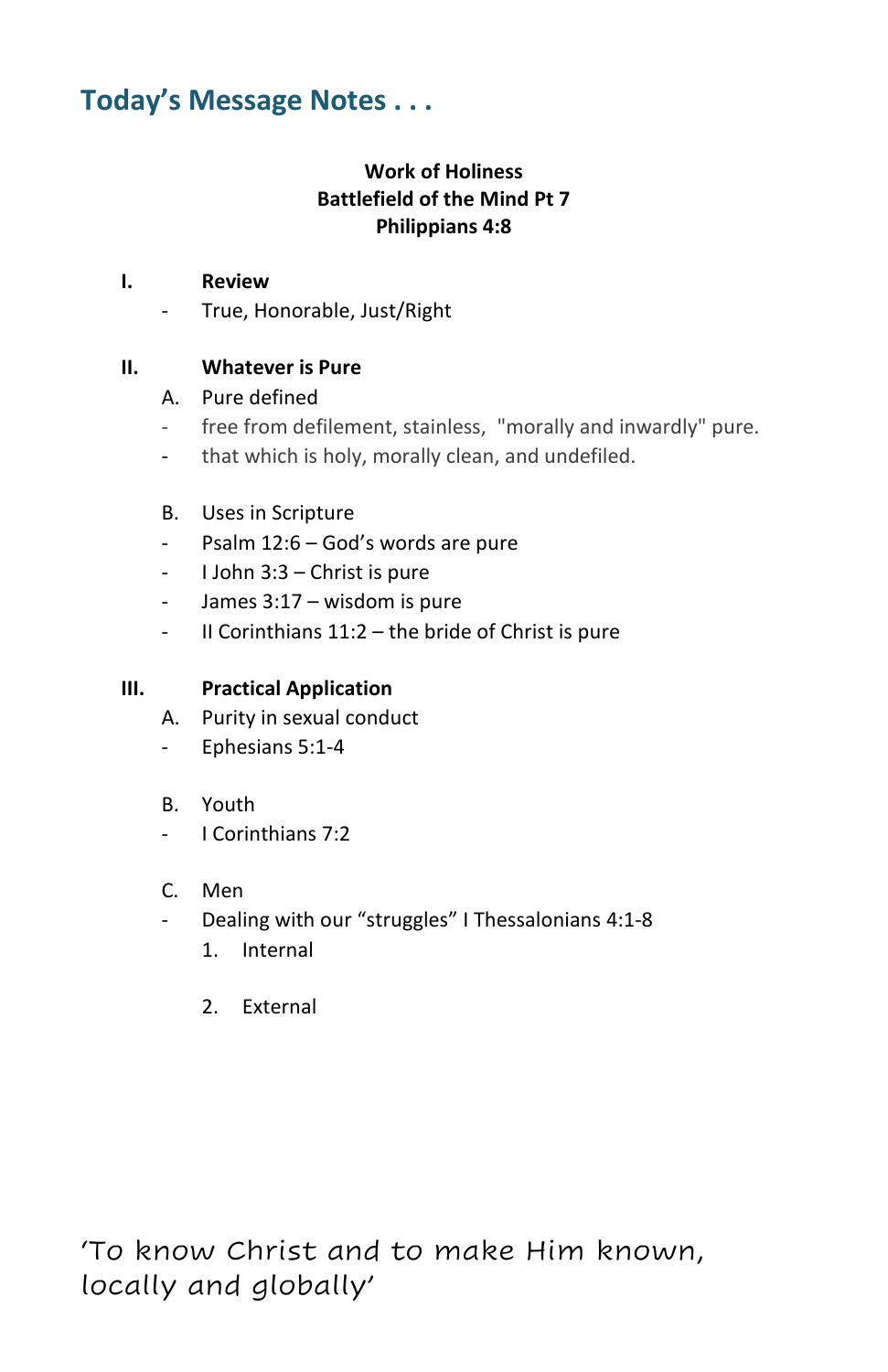### **Today's Message Notes . . .**

#### **Work of Holiness Battlefield of the Mind Pt 7 Philippians 4:8**

#### **I. Review**

- True, Honorable, Just/Right

#### **II. Whatever is Pure**

#### A. Pure defined

- free from defilement, stainless, "morally and inwardly" pure.
- that which is holy, morally clean, and undefiled.

#### B. Uses in Scripture

- [Psalm 12:6](https://biblia.com/bible/nasb95/Ps%2012.6) God's words are pure
- I John 3:3 Christ is pure
- James 3:17 wisdom is pure
- II Corinthians 11:2 the bride of Christ is pure

#### **III. Practical Application**

- A. Purity in sexual conduct
- Ephesians 5:1-4
- B. Youth
- I Corinthians 7:2
- C. Men
- Dealing with our "struggles" I Thessalonians 4:1-8
	- 1. Internal
	- 2. External